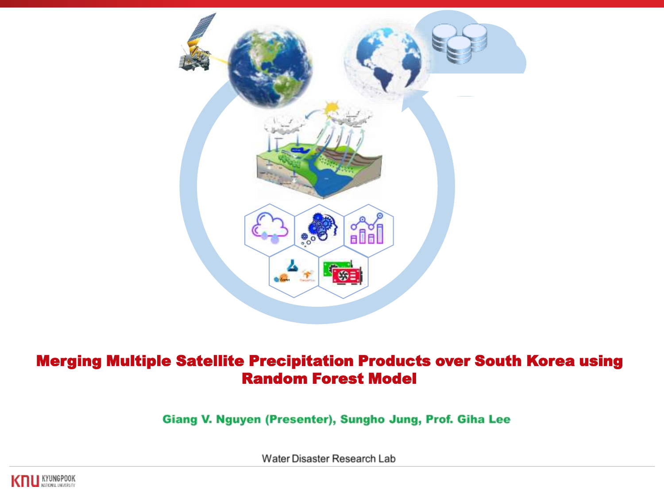

# Merging Multiple Satellite Precipitation Products over South Korea using Random Forest Model

Giang V. Nguyen (Presenter), Sungho Jung, Prof. Giha Lee

Water Disaster Research Lab

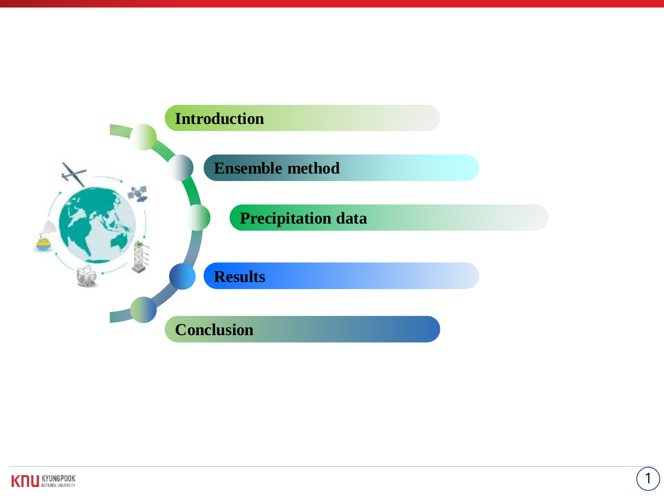

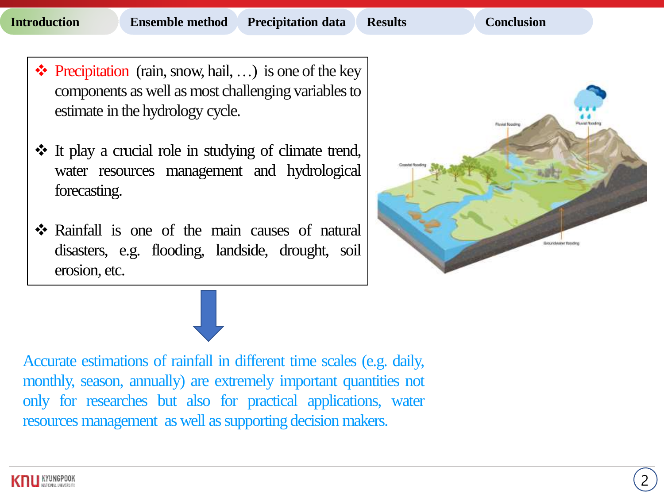- $\triangleleft$  Precipitation (rain, snow, hail, ...) is one of the key components as well as most challenging variablesto estimate in the hydrology cycle.
- It play a crucial role in studying of climate trend, water resources management and hydrological forecasting.
- Rainfall is one of the main causes of natural disasters, e.g. flooding, landside, drought, soil erosion, etc.



Accurate estimations of rainfall in different time scales (e.g. daily, monthly, season, annually) are extremely important quantities not only for researches but also for practical applications, water resources management as well assupporting decision makers.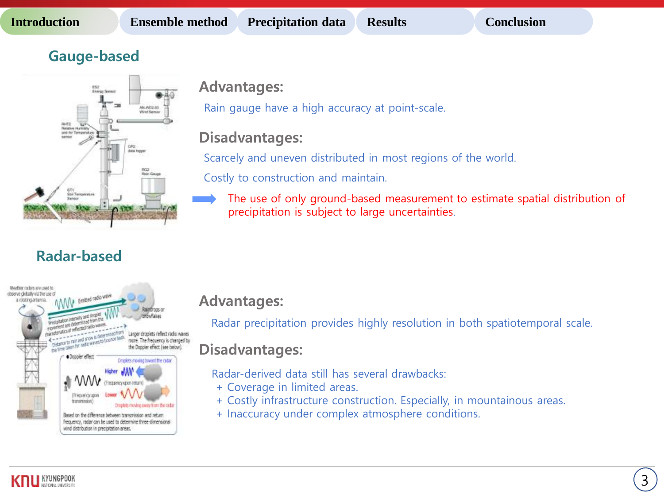# **Gauge-based**



## **Advantages:**

Rain gauge have a high accuracy at point-scale.

# **Disadvantages:**

Scarcely and uneven distributed in most regions of the world.

Costly to construction and maintain.

The use of only ground-based measurement to estimate spatial distribution of precipitation is subject to large uncertainties.

# **Radar-based**



# **Advantages:**

Radar precipitation provides highly resolution in both spatiotemporal scale.

# **Disadvantages:**

Radar-derived data still has several drawbacks:

- + Coverage in limited areas.
- + Costly infrastructure construction. Especially, in mountainous areas.
- + Inaccuracy under complex atmosphere conditions.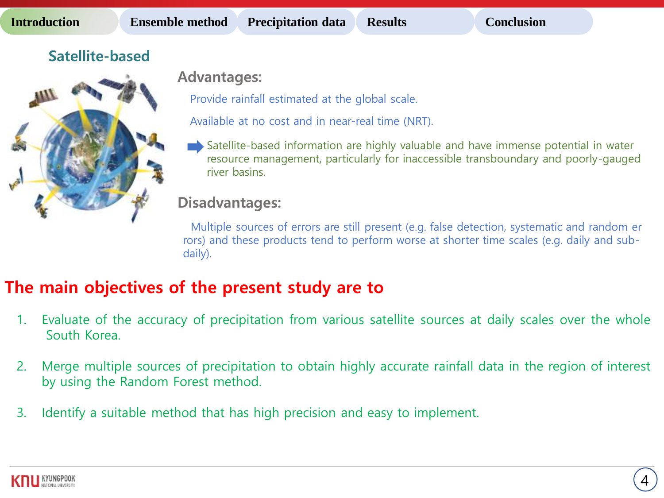# **Satellite-based**



**Advantages:**

Provide rainfall estimated at the global scale.

Available at no cost and in near-real time (NRT).

Satellite-based information are highly valuable and have immense potential in water resource management, particularly for inaccessible transboundary and poorly-gauged river basins.

# **Disadvantages:**

Multiple sources of errors are still present (e.g. false detection, systematic and random er rors) and these products tend to perform worse at shorter time scales (e.g. daily and subdaily).

# **The main objectives of the present study are to**

- 1. Evaluate of the accuracy of precipitation from various satellite sources at daily scales over the whole South Korea.
- 2. Merge multiple sources of precipitation to obtain highly accurate rainfall data in the region of interest by using the Random Forest method.
- 3. Identify a suitable method that has high precision and easy to implement.

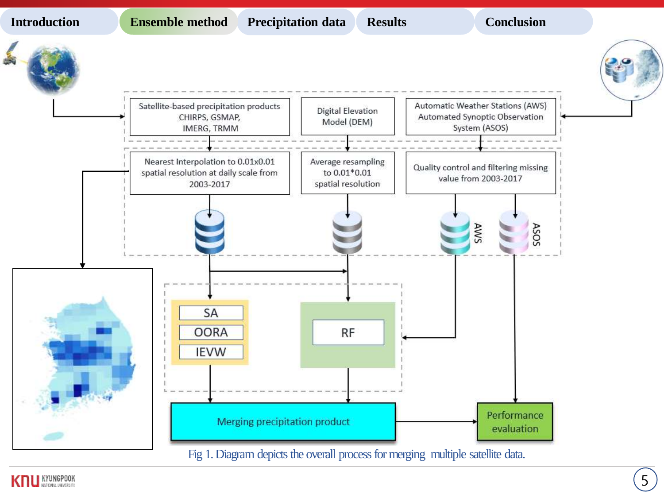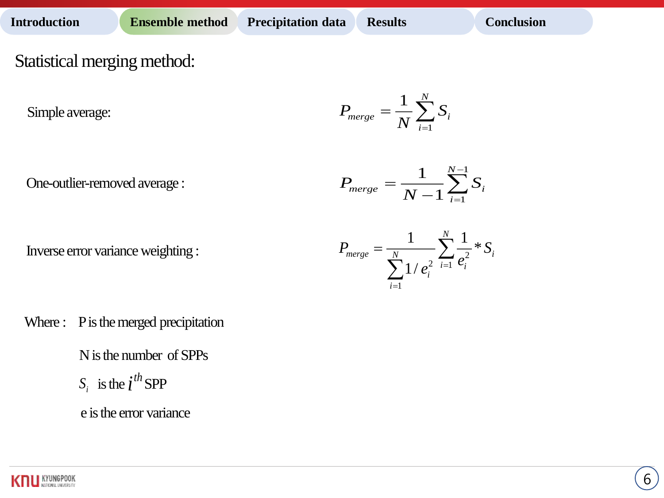Statistical merging method:

Simple average:

One-outlier-removed average :

Inverse error variance weighting :



$$
P_{merge} = \frac{1}{N-1}\sum_{i=1}^{N-1}S_i
$$



Where : P is the merged precipitation

 $S_i$  is the  $i^{th}$  SPP N is the number of SPPs

e is the error variance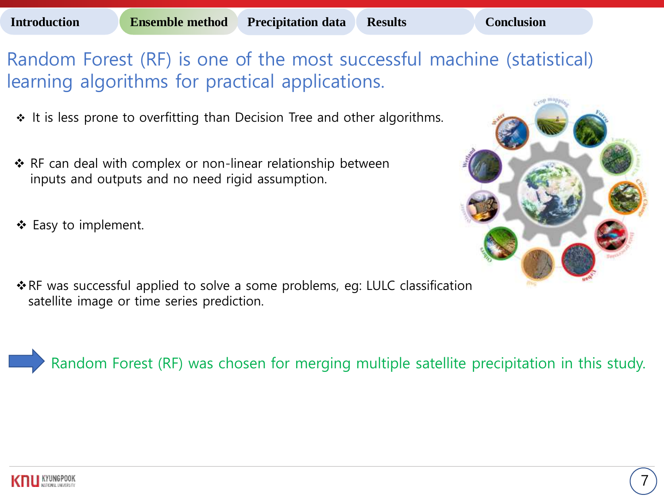Random Forest (RF) is one of the most successful machine (statistical) learning algorithms for practical applications.

- $\cdot$  It is less prone to overfitting than Decision Tree and other algorithms.
- ◆ RF can deal with complex or non-linear relationship between inputs and outputs and no need rigid assumption.
- $\triangleleft$  Easy to implement.
- \* RF was successful applied to solve a some problems, eg: LULC classification satellite image or time series prediction.

Random Forest (RF) was chosen for merging multiple satellite precipitation in this study.

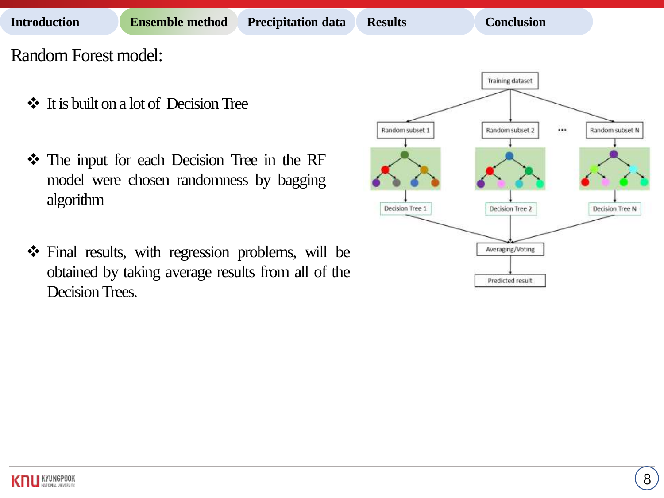### **Introduction Ensemble method Precipitation data Results Conclusion**

Random Forest model:

- It is built on a lot of Decision Tree
- The input for each Decision Tree in the RF model were chosen randomness by bagging algorithm
- Final results, with regression problems, will be obtained by taking average results from all of the Decision Trees.

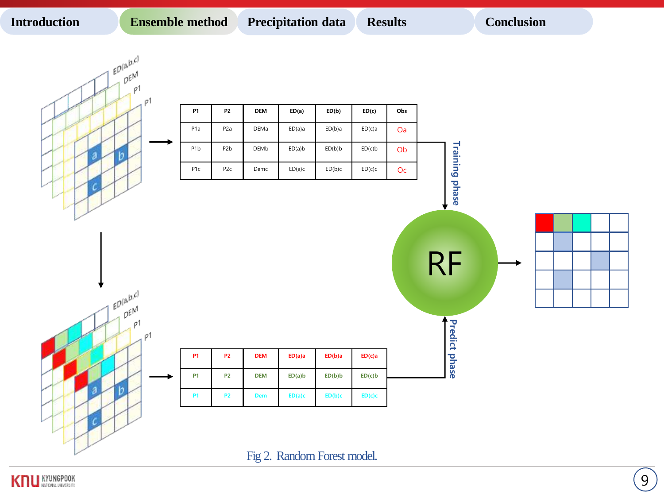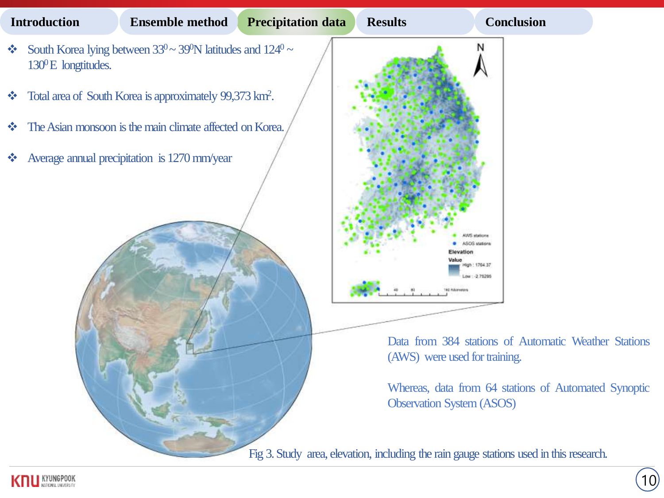

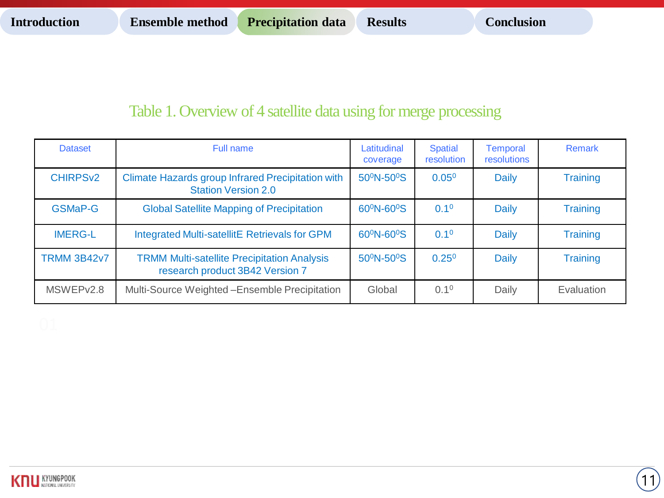11

# Table 1. Overview of 4 satellite data using for merge processing

| <b>Dataset</b>             | Full name                                                                                                                    | Latitudinal<br>coverage             | <b>Spatial</b><br>resolution | <b>Temporal</b><br>resolutions | <b>Remark</b>   |
|----------------------------|------------------------------------------------------------------------------------------------------------------------------|-------------------------------------|------------------------------|--------------------------------|-----------------|
| <b>CHIRPS<sub>v2</sub></b> | Climate Hazards group Infrared Precipitation with<br><b>Station Version 2.0</b>                                              | 50 <sup>°</sup> N-50 <sup>°</sup> S | $0.05^{0}$                   | <b>Daily</b>                   | <b>Training</b> |
| <b>GSMaP-G</b>             | <b>Global Satellite Mapping of Precipitation</b>                                                                             | 60 <sup>0</sup> N-60 <sup>0</sup> S | 0.1 <sup>0</sup>             | Daily                          | <b>Training</b> |
| <b>IMERG-L</b>             | <b>Integrated Multi-satellitE Retrievals for GPM</b>                                                                         | 60 <sup>°</sup> N-60 <sup>°</sup> S | 0.1 <sup>0</sup>             | <b>Daily</b>                   | <b>Training</b> |
| <b>TRMM 3B42v7</b>         | 50 <sup>°</sup> N-50 <sup>°</sup> S<br><b>TRMM Multi-satellite Precipitation Analysis</b><br>research product 3B42 Version 7 |                                     | $0.25^{0}$                   | <b>Daily</b>                   | <b>Training</b> |
| MSWEP <sub>v2.8</sub>      | Multi-Source Weighted-Ensemble Precipitation                                                                                 | Global                              | 0.1 <sup>0</sup>             | Daily                          | Evaluation      |

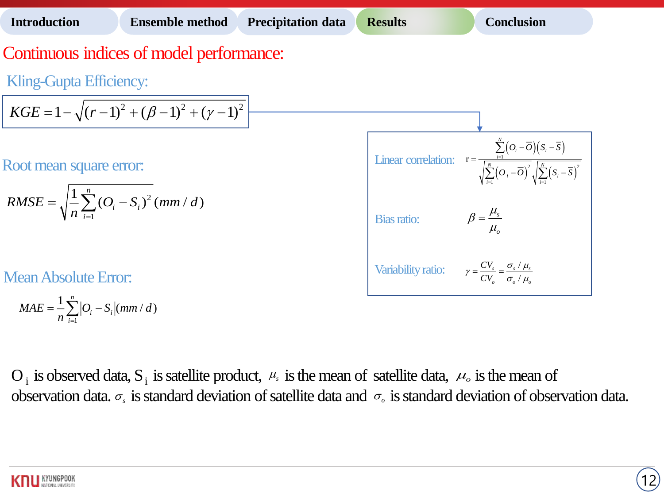# Continuous indices of model performance:

Kling-Gupta Efficiency:

$$
KGE = 1 - \sqrt{(r-1)^2 + (\beta - 1)^2 + (\gamma - 1)^2}
$$

Root mean square error:

RMSE = 
$$
\sqrt{\frac{1}{n} \sum_{i=1}^{n} (O_i - S_i)^2}
$$
 (mm / d)

Mean Absolute Error:

$$
MAE = \frac{1}{n} \sum_{i=1}^{n} |O_i - S_i| (mm/d)
$$



 $O_i$  is observed data,  $S_i$  is satellite product,  $\mu_s$  is the mean of satellite data,  $\mu_s$  is the mean of observation data.  $\sigma_s$  is standard deviation of satellite data and  $\sigma_s$  is standard deviation of observation data.

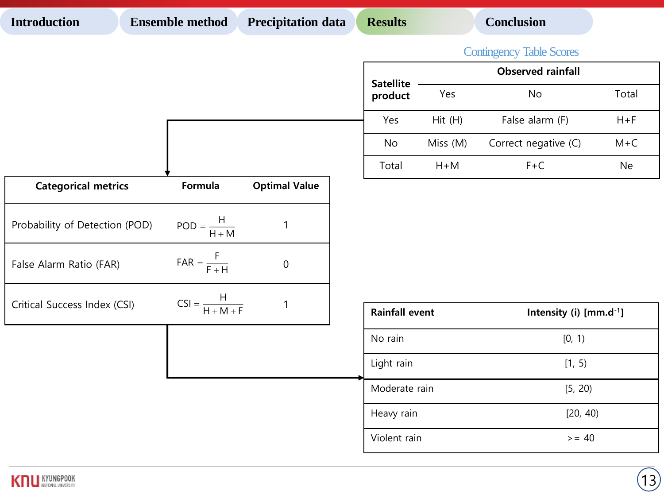| <b>Introduction</b>            | <b>Ensemble method</b>                                      | <b>Precipitation data</b> | <b>Results</b>        |                                     | <b>Conclusion</b>    |          |  |  |
|--------------------------------|-------------------------------------------------------------|---------------------------|-----------------------|-------------------------------------|----------------------|----------|--|--|
|                                |                                                             |                           |                       | <b>Contingency Table Scores</b>     |                      |          |  |  |
|                                |                                                             |                           | <b>Satellite</b>      | <b>Observed rainfall</b>            |                      |          |  |  |
|                                |                                                             |                           | product               | Yes                                 | <b>No</b>            | Total    |  |  |
|                                |                                                             |                           | Yes                   | Hit(H)                              | False alarm (F)      | $H + F$  |  |  |
|                                |                                                             |                           | No                    | Miss (M)                            | Correct negative (C) | $M + C$  |  |  |
|                                |                                                             |                           | Total                 | $H+M$                               | $F+C$                | Ne       |  |  |
| <b>Categorical metrics</b>     | Formula                                                     | <b>Optimal Value</b>      |                       |                                     |                      |          |  |  |
| Probability of Detection (POD) | $\mathsf{POD} = \frac{\mathsf{H}}{\mathsf{H} + \mathsf{M}}$ | $\mathbf{1}$              |                       |                                     |                      |          |  |  |
| False Alarm Ratio (FAR)        | $\mathsf{FAR} = \frac{\mathsf{F}}{\mathsf{F} + \mathsf{H}}$ | $\boldsymbol{0}$          |                       |                                     |                      |          |  |  |
| Critical Success Index (CSI)   | $CSI = \frac{H}{H + M + F}$                                 | $\mathbf{1}$              | <b>Rainfall event</b> | Intensity (i) [mm.d <sup>-1</sup> ] |                      |          |  |  |
|                                |                                                             |                           | No rain               |                                     | [0, 1)               |          |  |  |
|                                |                                                             |                           | Light rain            |                                     | [1, 5)               |          |  |  |
|                                |                                                             |                           | Moderate rain         |                                     | [5, 20)              |          |  |  |
|                                |                                                             |                           |                       | Heavy rain                          |                      | [20, 40) |  |  |
|                                |                                                             |                           | Violent rain          |                                     | $>= 40$              |          |  |  |

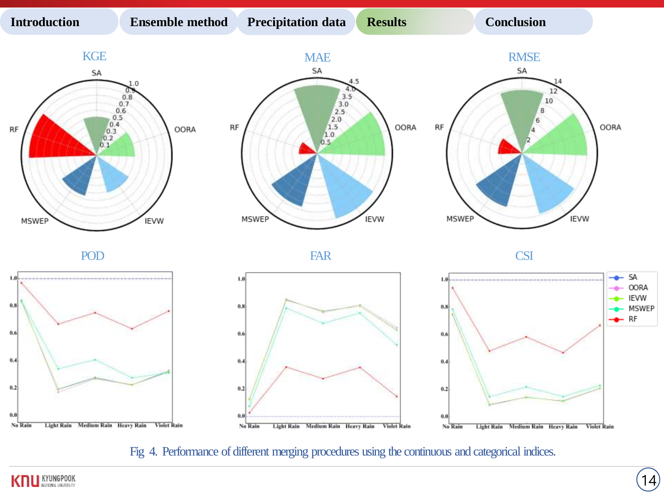**Introduction Ensemble method Precipitation data Results Conclusion** 



Fig 4. Performance of different merging procedures using the continuous and categorical indices.



SA

OORA **IEVW** 

MSWEP  $-$  RF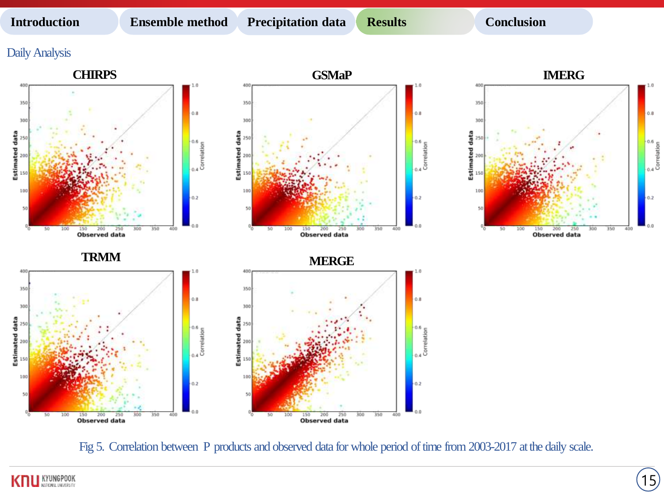**Introduction Ensemble method Precipitation data Results Conclusion** 

15

### Daily Analysis



Fig 5. Correlation between P products and observed data for whole period of time from 2003-2017 at the daily scale.

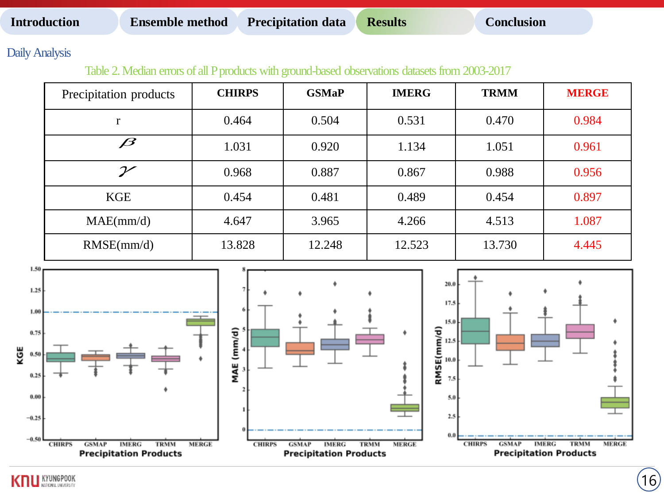Daily Analysis

Table 2. Median errors of all P products with ground-based observations datasets from 2003-2017

| Precipitation products | <b>CHIRPS</b> | <b>GSMaP</b> | <b>IMERG</b> | <b>TRMM</b> | <b>MERGE</b> |
|------------------------|---------------|--------------|--------------|-------------|--------------|
| r                      | 0.464         | 0.504        | 0.531        | 0.470       | 0.984        |
| $\boldsymbol{\beta}$   | 1.031         | 0.920        | 1.134        | 1.051       | 0.961        |
| $\mathcal V$           | 0.968         | 0.887        | 0.867        | 0.988       | 0.956        |
| <b>KGE</b>             | 0.454         | 0.481        | 0.489        | 0.454       | 0.897        |
| MAE(mm/d)              | 4.647         | 3.965        | 4.266        | 4.513       | 1.087        |
| RMSE(mm/d)             | 13.828        | 12.248       | 12.523       | 13.730      | 4.445        |



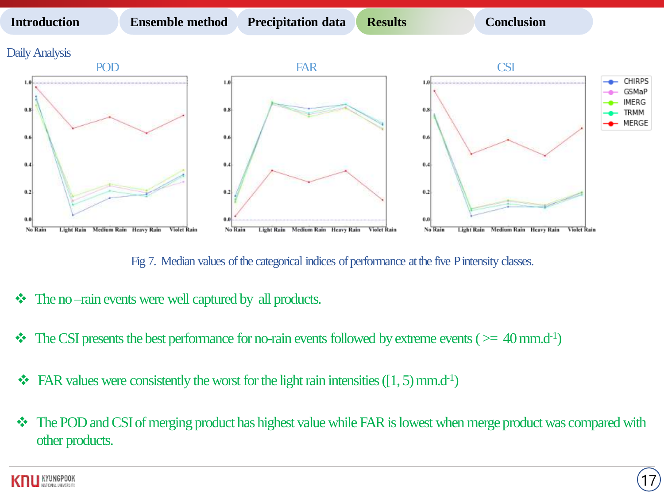

Fig 7. Median values of the categorical indices of performance at the five P intensity classes.

- $\triangleleft$  The no-rain events were well captured by all products.
- $\cdot \cdot$  The CSI presents the best performance for no-rain events followed by extreme events ( $>= 40$  mm.d<sup>-1</sup>)
- $\bullet\bullet$  FAR values were consistently the worst for the light rain intensities ([1, 5) mm.d<sup>-1</sup>)
- $\cdot \cdot$  The POD and CSI of merging product has highest value while FAR is lowest when merge product was compared with other products.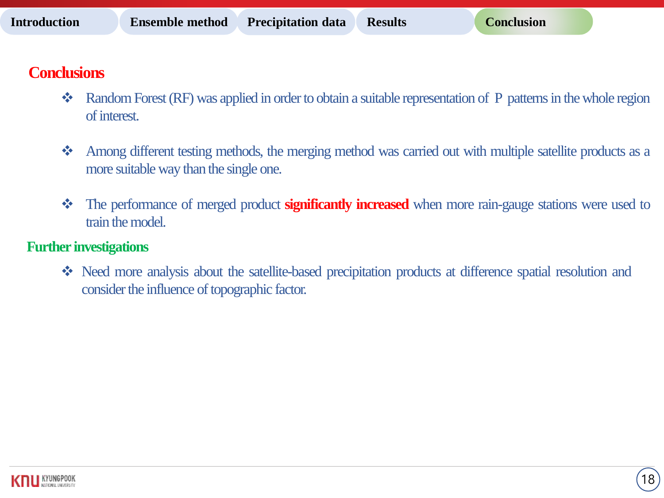# **Conclusions**

- $\bullet\bullet\bullet\bullet$  Random Forest (RF) was applied in order to obtain a suitable representation of P patterns in the whole region of interest.
- Among different testing methods, the merging method was carried out with multiple satellite products as a more suitable way than the single one.
- The performance of merged product **significantly increased** when more rain-gauge stations were used to train the model.

# **Further investigations**

• Need more analysis about the satellite-based precipitation products at difference spatial resolution and consider the influence of topographic factor.